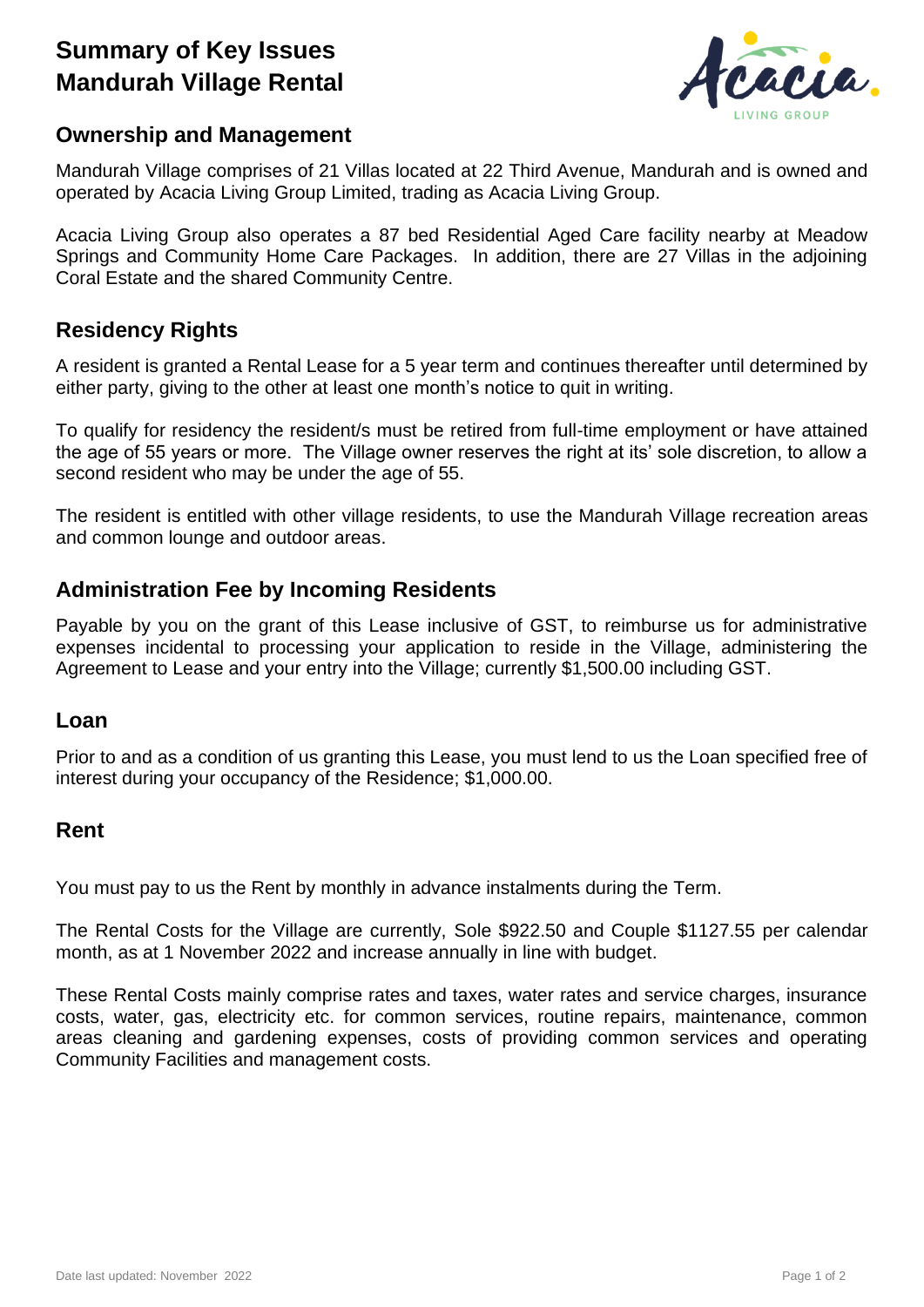# **Summary of Key Issues Mandurah Village Rental**



## **Ownership and Management**

Mandurah Village comprises of 21 Villas located at 22 Third Avenue, Mandurah and is owned and operated by Acacia Living Group Limited, trading as Acacia Living Group.

Acacia Living Group also operates a 87 bed Residential Aged Care facility nearby at Meadow Springs and Community Home Care Packages. In addition, there are 27 Villas in the adjoining Coral Estate and the shared Community Centre.

# **Residency Rights**

A resident is granted a Rental Lease for a 5 year term and continues thereafter until determined by either party, giving to the other at least one month's notice to quit in writing.

To qualify for residency the resident/s must be retired from full-time employment or have attained the age of 55 years or more. The Village owner reserves the right at its' sole discretion, to allow a second resident who may be under the age of 55.

The resident is entitled with other village residents, to use the Mandurah Village recreation areas and common lounge and outdoor areas.

# **Administration Fee by Incoming Residents**

Payable by you on the grant of this Lease inclusive of GST, to reimburse us for administrative expenses incidental to processing your application to reside in the Village, administering the Agreement to Lease and your entry into the Village; currently \$1,500.00 including GST.

#### **Loan**

Prior to and as a condition of us granting this Lease, you must lend to us the Loan specified free of interest during your occupancy of the Residence; \$1,000.00.

### **Rent**

You must pay to us the Rent by monthly in advance instalments during the Term.

The Rental Costs for the Village are currently, Sole \$922.50 and Couple \$1127.55 per calendar month, as at 1 November 2022 and increase annually in line with budget.

These Rental Costs mainly comprise rates and taxes, water rates and service charges, insurance costs, water, gas, electricity etc. for common services, routine repairs, maintenance, common areas cleaning and gardening expenses, costs of providing common services and operating Community Facilities and management costs.